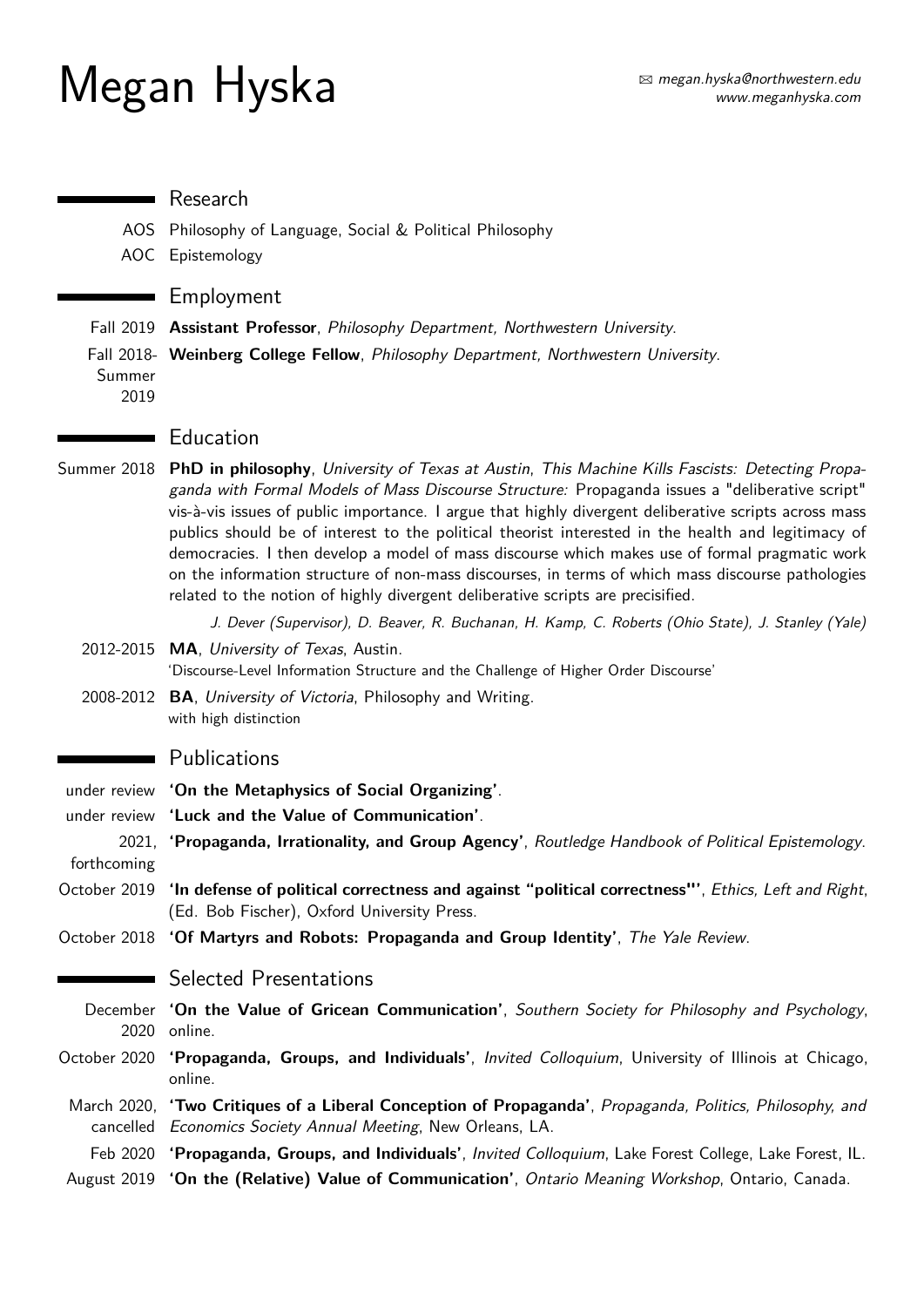# $\mathsf{M}$ egan Hyska  $\mathsf{M}$ u[megan.hyska@northwestern.edu](mailto:megan.hyska@northwestern.edu)

### Research

- AOS Philosophy of Language, Social & Political Philosophy
- AOC Epistemology

**Employment** 

Fall 2019 **Assistant Professor**, Philosophy Department, Northwestern University.

Fall 2018- **Weinberg College Fellow**, Philosophy Department, Northwestern University. Summer

2019

# **Education**

Summer 2018 **PhD in philosophy**, University of Texas at Austin, This Machine Kills Fascists: Detecting Propaganda with Formal Models of Mass Discourse Structure: Propaganda issues a "deliberative script" vis-à-vis issues of public importance. I argue that highly divergent deliberative scripts across mass publics should be of interest to the political theorist interested in the health and legitimacy of democracies. I then develop a model of mass discourse which makes use of formal pragmatic work on the information structure of non-mass discourses, in terms of which mass discourse pathologies related to the notion of highly divergent deliberative scripts are precisified.

J. Dever (Supervisor), D. Beaver, R. Buchanan, H. Kamp, C. Roberts (Ohio State), J. Stanley (Yale)

- 2012-2015 **MA**, University of Texas, Austin. 'Discourse-Level Information Structure and the Challenge of Higher Order Discourse'
- 2008-2012 **BA**, University of Victoria, Philosophy and Writing. with high distinction

# **Publications**

under review **'On the Metaphysics of Social Organizing'**.

under review **'Luck and the Value of Communication'**.

2021, **'Propaganda, Irrationality, and Group Agency'**, Routledge Handbook of Political Epistemology. forthcoming

- October 2019 **'In defense of political correctness and against "political correctness"'**, Ethics, Left and Right, (Ed. Bob Fischer), Oxford University Press.
- October 2018 **'Of Martyrs and Robots: Propaganda and Group Identity'**, The Yale Review.

# Selected Presentations

- December **'On the Value of Gricean Communication'**, Southern Society for Philosophy and Psychology, 2020 online.
- October 2020 **'Propaganda, Groups, and Individuals'**, Invited Colloquium, University of Illinois at Chicago, online.
- March 2020, **'Two Critiques of a Liberal Conception of Propaganda'**, Propaganda, Politics, Philosophy, and cancelled Economics Society Annual Meeting, New Orleans, LA.
- Feb 2020 **'Propaganda, Groups, and Individuals'**, Invited Colloquium, Lake Forest College, Lake Forest, IL.
- August 2019 **'On the (Relative) Value of Communication'**, Ontario Meaning Workshop, Ontario, Canada.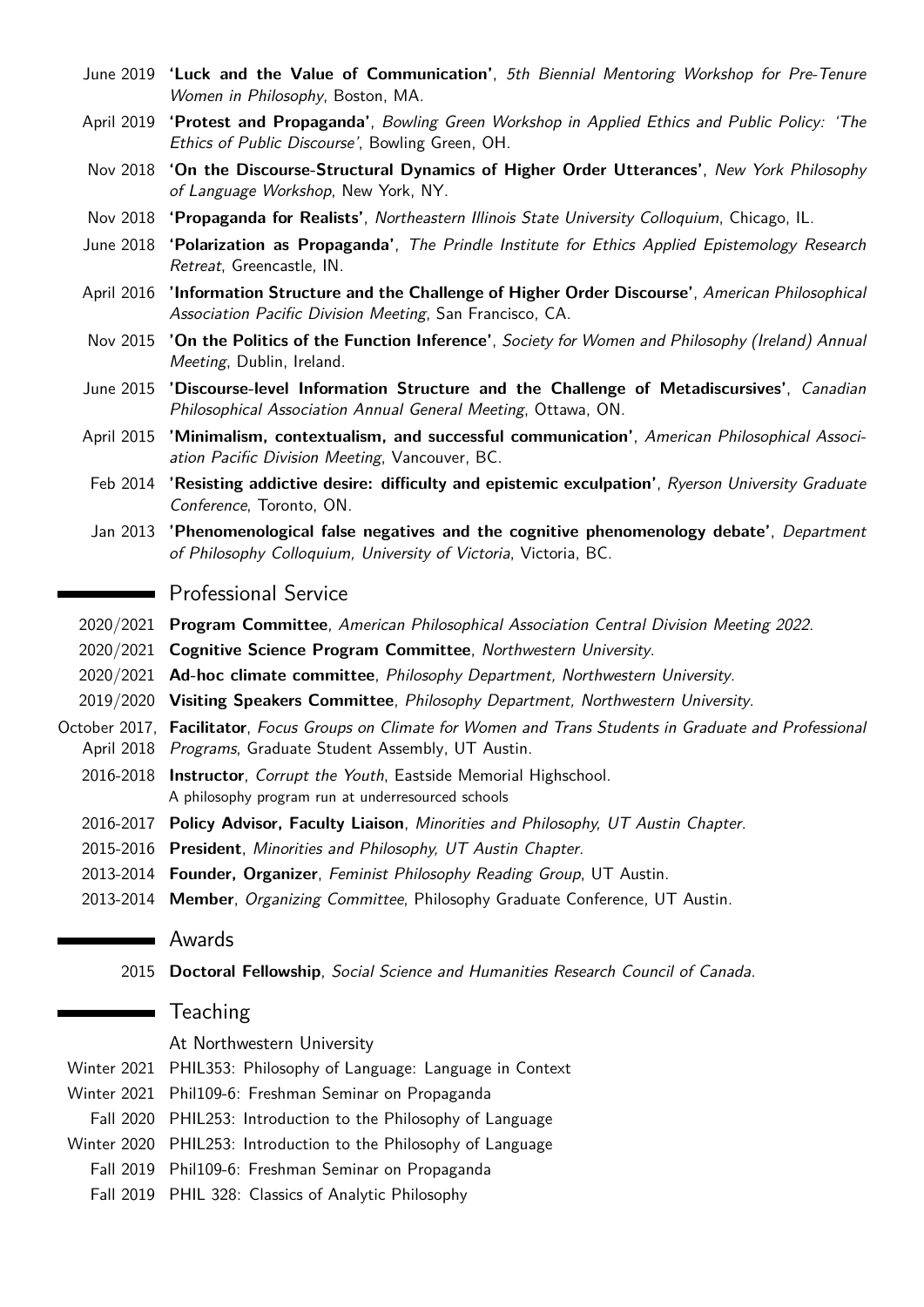- June 2019 **'Luck and the Value of Communication'**, 5th Biennial Mentoring Workshop for Pre-Tenure Women in Philosophy, Boston, MA.
- April 2019 **'Protest and Propaganda'**, Bowling Green Workshop in Applied Ethics and Public Policy: 'The Ethics of Public Discourse', Bowling Green, OH.
- Nov 2018 **'On the Discourse-Structural Dynamics of Higher Order Utterances'**, New York Philosophy of Language Workshop, New York, NY.
- Nov 2018 **'Propaganda for Realists'**, Northeastern Illinois State University Colloquium, Chicago, IL.
- June 2018 **'Polarization as Propaganda'**, The Prindle Institute for Ethics Applied Epistemology Research Retreat, Greencastle, IN.
- April 2016 **'Information Structure and the Challenge of Higher Order Discourse'**, American Philosophical Association Pacific Division Meeting, San Francisco, CA.
- Nov 2015 **'On the Politics of the Function Inference'**, Society for Women and Philosophy (Ireland) Annual Meeting, Dublin, Ireland.
- June 2015 **'Discourse-level Information Structure and the Challenge of Metadiscursives'**, Canadian Philosophical Association Annual General Meeting, Ottawa, ON.
- April 2015 **'Minimalism, contextualism, and successful communication'**, American Philosophical Association Pacific Division Meeting, Vancouver, BC.
- Feb 2014 **'Resisting addictive desire: difficulty and epistemic exculpation'**, Ryerson University Graduate Conference, Toronto, ON.
- Jan 2013 **'Phenomenological false negatives and the cognitive phenomenology debate'**, Department of Philosophy Colloquium, University of Victoria, Victoria, BC.

#### **Exercise** Professional Service

- 2020/2021 **Program Committee**, American Philosophical Association Central Division Meeting 2022.
- 2020/2021 **Cognitive Science Program Committee**, Northwestern University.
- 2020/2021 **Ad-hoc climate committee**, Philosophy Department, Northwestern University.
- 2019/2020 **Visiting Speakers Committee**, Philosophy Department, Northwestern University.
- October 2017, **Facilitator**, Focus Groups on Climate for Women and Trans Students in Graduate and Professional April 2018 Programs, Graduate Student Assembly, UT Austin.
	- 2016-2018 **Instructor**, Corrupt the Youth, Eastside Memorial Highschool. A philosophy program run at underresourced schools
	- 2016-2017 **Policy Advisor, Faculty Liaison**, Minorities and Philosophy, UT Austin Chapter.
	- 2015-2016 **President**, Minorities and Philosophy, UT Austin Chapter.
	- 2013-2014 **Founder, Organizer**, Feminist Philosophy Reading Group, UT Austin.
	- 2013-2014 **Member**, Organizing Committee, Philosophy Graduate Conference, UT Austin.

#### Awards

2015 **Doctoral Fellowship**, Social Science and Humanities Research Council of Canada.

#### **Teaching**

#### At Northwestern University

- Winter 2021 PHIL353: Philosophy of Language: Language in Context
- Winter 2021 Phil109-6: Freshman Seminar on Propaganda
- Fall 2020 PHIL253: Introduction to the Philosophy of Language
- Winter 2020 PHIL253: Introduction to the Philosophy of Language
	- Fall 2019 Phil109-6: Freshman Seminar on Propaganda
		- Fall 2019 PHIL 328: Classics of Analytic Philosophy